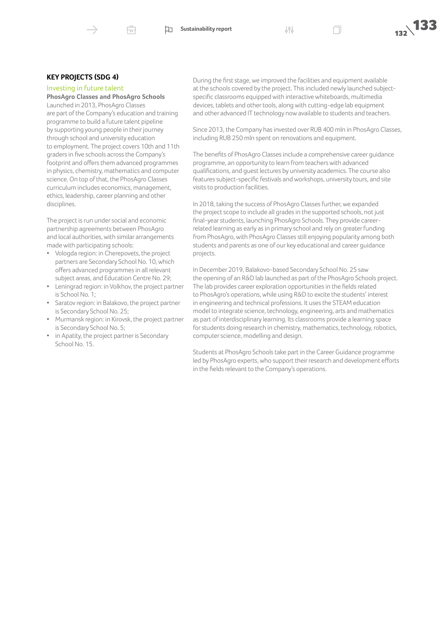

## **KEY PROJECTS (SDG 4)**

Investing in future talent

# **PhosAgro Classes and PhosAgro Schools**

Launched in 2013, PhosAgro Classes are part of the Company's education and training programme to build a future talent pipeline by supporting young people in their journey through school and university education to employment. The project covers 10th and 11th graders in five schools across the Company's footprint and offers them advanced programmes in physics, chemistry, mathematics and computer science. On top of that, the PhosAgro Classes curriculum includes economics, management, ethics, leadership, career planning and other disciplines.

The project is run under social and economic partnership agreements between PhosAgro and local authorities, with similar arrangements made with participating schools:

- Vologda region: in Cherepovets, the project partners are Secondary School No. 10, which offers advanced programmes in all relevant subject areas, and Education Centre No. 29;
- Leningrad region: in Volkhov, the project partner is School No. 1;
- Saratov region: in Balakovo, the project partner is Secondary School No. 25;
- Murmansk region: in Kirovsk, the project partner is Secondary School No. 5;
- in Apatity, the project partner is Secondary School No. 15.

During the first stage, we improved the facilities and equipment available at the schools covered by the project. This included newly launched subjectspecific classrooms equipped with interactive whiteboards, multimedia devices, tablets and other tools, along with cutting-edge lab equipment and other advanced IT technology now available to students and teachers.

Since 2013, the Company has invested over RUB 400 mln in PhosAgro Classes, including RUB 250 mln spent on renovations and equipment.

The benefits of PhosAgro Classes include a comprehensive career guidance programme, an opportunity to learn from teachers with advanced qualifications, and guest lectures by university academics. The course also features subject-specific festivals and workshops, university tours, and site visits to production facilities.

In 2018, taking the success of PhosAgro Classes further, we expanded the project scope to include all grades in the supported schools, not just final-year students, launching PhosAgro Schools. They provide careerrelated learning as early as in primary school and rely on greater funding from PhosAgro, with PhosAgro Classes still enjoying popularity among both students and parents as one of our key educational and career guidance projects.

In December 2019, Balakovo-based Secondary School No. 25 saw the opening of an R&D lab launched as part of the PhosAgro Sсhools project. The lab provides career exploration opportunities in the fields related to PhosAgro's operations, while using R&D to excite the students' interest in engineering and technical professions. It uses the STEAM education model to integrate science, technology, engineering, arts and mathematics as part of interdisciplinary learning. Its classrooms provide a learning space for students doing research in chemistry, mathematics, technology, robotics, computer science, modelling and design.

Students at PhosAgro Schools take part in the Career Guidance programme led by PhosAgro experts, who support their research and development efforts in the fields relevant to the Company's operations.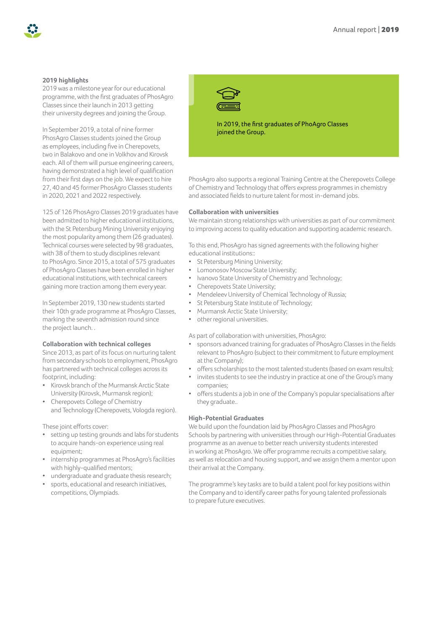# **2019 highlights**

2019 was a milestone year for our educational programme, with the first graduates of PhosAgro Classes since their launch in 2013 getting their university degrees and joining the Group.

In September 2019, a total of nine former PhosAgro Classes students joined the Group as employees, including five in Cherepovets, two in Balakovo and one in Volkhov and Kirovsk each. All of them will pursue engineering careers, having demonstrated a high level of qualification from their first days on the job. We expect to hire 27, 40 and 45 former PhosAgro Classes students in 2020, 2021 and 2022 respectively.

125 of 126 PhosAgro Classes 2019 graduates have been admitted to higher educational institutions, with the St Petersburg Mining University enjoying the most popularity among them (26 graduates). Technical courses were selected by 98 graduates, with 38 of them to study disciplines relevant to PhosAgro. Since 2015, a total of 575 graduates of PhosAgro Classes have been enrolled in higher educational institutions, with technical careers gaining more traction among them every year.

In September 2019, 130 new students started their 10th grade programme at PhosAgro Classes, marking the seventh admission round since the project launch..

## **Collaboration with technical colleges**

Since 2013, as part of its focus on nurturing talent from secondary schools to employment, PhosAgro has partnered with technical colleges across its footprint, including:

- Kirovsk branch of the Murmansk Arctic State University (Kirovsk, Murmansk region);
- Cherepovets College of Chemistry and Technology (Cherepovets, Vologda region).

These joint efforts cover:

- setting up testing grounds and labs for students to acquire hands-on experience using real equipment;
- internship programmes at PhosAgro's facilities with highly-qualified mentors;
- undergraduate and graduate thesis research;
- sports, educational and research initiatives, competitions, Olympiads.



In 2019, the first graduates of PhoAgro Classes joined the Group.

PhosAgro also supports a regional Training Centre at the Cherepovets College of Chemistry and Technology that offers express programmes in chemistry and associated fields to nurture talent for most in-demand jobs.

#### **Collaboration with universities**

We maintain strong relationships with universities as part of our commitment to improving access to quality education and supporting academic research.

To this end, PhosAgro has signed agreements with the following higher educational institutions::

- St Petersburg Mining University;
- Lomonosov Moscow State University;
- Ivanovo State University of Chemistry and Technology;
- Cherepovets State University;
- Mendeleev University of Chemical Technology of Russia;
- St Petersburg State Institute of Technology;
- Murmansk Arctic State University;
- other regional universities.

As part of collaboration with universities, PhosAgro:

- sponsors advanced training for graduates of PhosAgro Classes in the fields relevant to PhosAgro (subject to their commitment to future employment at the Company);
- offers scholarships to the most talented students (based on exam results);
- invites students to see the industry in practice at one of the Group's many companies;
- offers students a job in one of the Company's popular specialisations after they graduate..

## **High-Potential Graduates**

We build upon the foundation laid by PhosAgro Classes and PhosAgro Schools by partnering with universities through our High-Potential Graduates programme as an avenue to better reach university students interested in working at PhosAgro. We offer programme recruits a competitive salary, as well as relocation and housing support, and we assign them a mentor upon their arrival at the Company.

The programme's key tasks are to build a talent pool for key positions within the Company and to identify career paths for young talented professionals to prepare future executives.